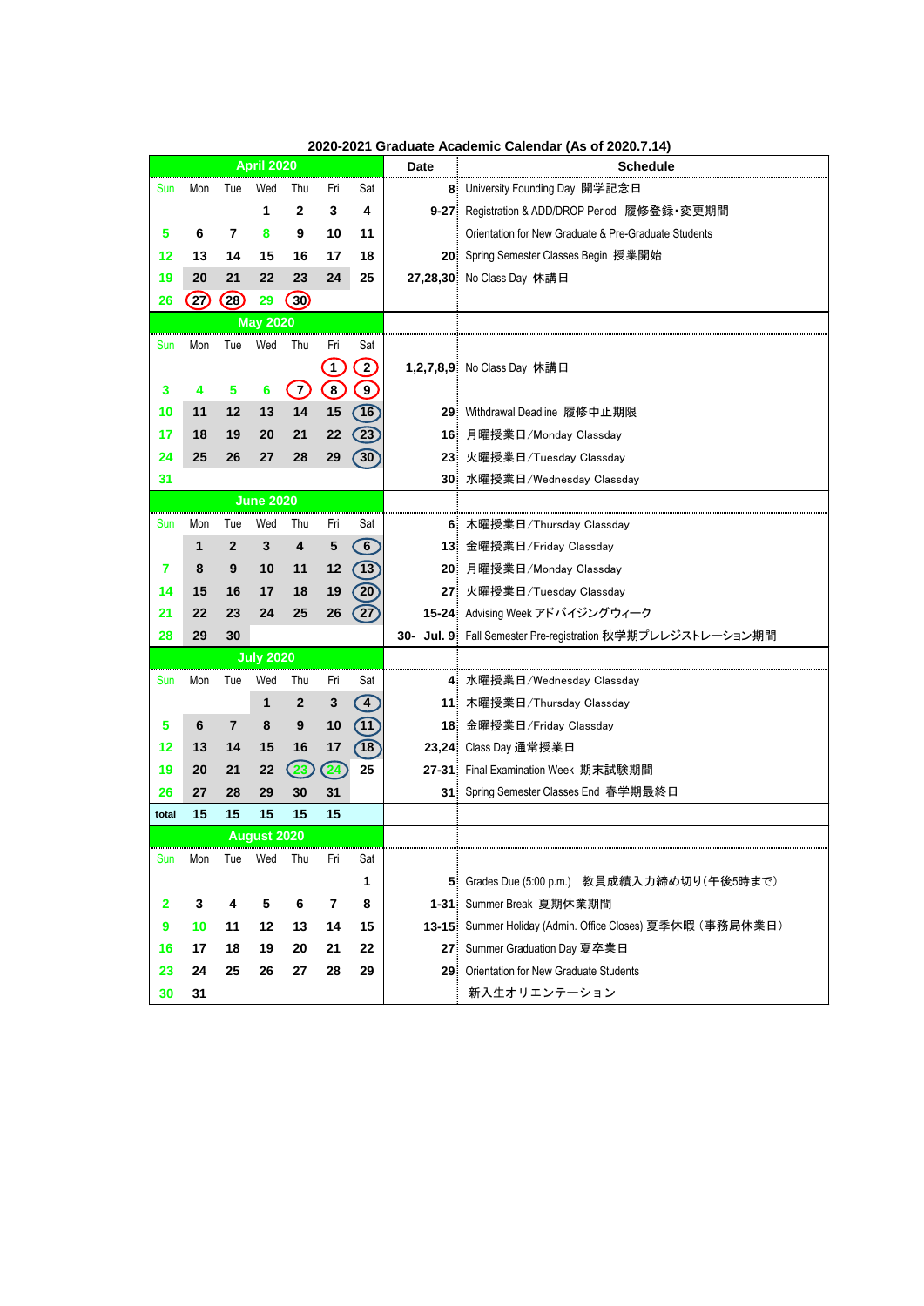|       |      |                | <b>April 2020</b><br>Wed<br>Thu<br>Fri<br>$\mathbf{2}$<br>3<br>1<br>9<br>10<br>8<br>15<br>16<br>17<br>24<br>22<br>23<br>(30)<br>29<br><b>May 2020</b><br>Wed<br>Thu<br>Fri<br>$\left[1\right]$<br>$\bigcirc$<br>$\left( 7\right)$<br>$6\phantom{1}6$<br>13<br>14<br>15<br>21<br>22<br>20<br>28<br>29<br>27<br><b>June 2020</b><br>Wed<br>Thu<br>Fri<br>5<br>3<br>4<br>12<br>10<br>11<br>18<br>19<br>17<br>25<br>26<br>24<br><b>July 2020</b><br>Wed<br>Thu<br>Fri<br>$\overline{2}$<br>3<br>1<br>10<br>9<br>8<br>17<br>15<br>16<br>$\left( 24\right)$<br>$\left( 23 \right)$<br>22<br>29<br>30<br>31 |     |                         |                               | <b>Date</b>     | <b>Schedule</b>                                        |
|-------|------|----------------|------------------------------------------------------------------------------------------------------------------------------------------------------------------------------------------------------------------------------------------------------------------------------------------------------------------------------------------------------------------------------------------------------------------------------------------------------------------------------------------------------------------------------------------------------------------------------------------------------|-----|-------------------------|-------------------------------|-----------------|--------------------------------------------------------|
| Sun   | Mon  | Tue            |                                                                                                                                                                                                                                                                                                                                                                                                                                                                                                                                                                                                      |     |                         | Sat                           |                 | 8 University Founding Day 開学記念日                        |
|       |      |                |                                                                                                                                                                                                                                                                                                                                                                                                                                                                                                                                                                                                      |     |                         | 4                             | $9 - 27$        | Registration & ADD/DROP Period 履修登録·変更期間               |
| 5     | 6    | 7              |                                                                                                                                                                                                                                                                                                                                                                                                                                                                                                                                                                                                      |     |                         | 11                            |                 | Orientation for New Graduate & Pre-Graduate Students   |
| 12    | 13   | 14             |                                                                                                                                                                                                                                                                                                                                                                                                                                                                                                                                                                                                      |     |                         | 18                            |                 | 20 Spring Semester Classes Begin 授業開始                  |
| 19    | 20   | 21             |                                                                                                                                                                                                                                                                                                                                                                                                                                                                                                                                                                                                      |     |                         | 25                            |                 | 27,28,30 No Class Day 休講日                              |
| 26    | (27) | (28)           |                                                                                                                                                                                                                                                                                                                                                                                                                                                                                                                                                                                                      |     |                         |                               |                 |                                                        |
|       |      |                |                                                                                                                                                                                                                                                                                                                                                                                                                                                                                                                                                                                                      |     |                         |                               |                 |                                                        |
| Sun   | Mon  | Tue            |                                                                                                                                                                                                                                                                                                                                                                                                                                                                                                                                                                                                      |     |                         | Sat                           |                 |                                                        |
|       |      |                |                                                                                                                                                                                                                                                                                                                                                                                                                                                                                                                                                                                                      |     |                         | $\left( 2\right)$             |                 | 1,2,7,8,9 No Class Day 休講日                             |
| 3     | 4    | 5              |                                                                                                                                                                                                                                                                                                                                                                                                                                                                                                                                                                                                      |     |                         | $\bigcirc$                    |                 |                                                        |
| 10    | 11   | 12             |                                                                                                                                                                                                                                                                                                                                                                                                                                                                                                                                                                                                      |     |                         | $\left( \overline{16}\right)$ |                 | 29 Withdrawal Deadline 履修中止期限                          |
| 17    | 18   | 19             |                                                                                                                                                                                                                                                                                                                                                                                                                                                                                                                                                                                                      |     |                         | $\boxed{23}$                  | 16              | 月曜授業日/Monday Classday                                  |
| 24    | 25   | 26             |                                                                                                                                                                                                                                                                                                                                                                                                                                                                                                                                                                                                      |     |                         | $\boxed{30}$                  | 23 <sub>1</sub> | 火曜授業日/Tuesday Classday                                 |
| 31    |      |                |                                                                                                                                                                                                                                                                                                                                                                                                                                                                                                                                                                                                      |     |                         |                               | 30 <sup>°</sup> | 水曜授業日/Wednesday Classday                               |
|       |      |                |                                                                                                                                                                                                                                                                                                                                                                                                                                                                                                                                                                                                      |     |                         |                               |                 |                                                        |
| Sun   | Mon  | Tue            |                                                                                                                                                                                                                                                                                                                                                                                                                                                                                                                                                                                                      |     |                         | Sat                           | 6.              | 木曜授業日/Thursday Classday                                |
|       | 1    | $\mathbf{2}$   |                                                                                                                                                                                                                                                                                                                                                                                                                                                                                                                                                                                                      |     |                         | 6                             |                 | 13 金曜授業日/Friday Classday                               |
| 7     | 8    | 9              |                                                                                                                                                                                                                                                                                                                                                                                                                                                                                                                                                                                                      |     |                         | $\sqrt{13}$                   |                 | 20 月曜授業日/Monday Classday                               |
| 14    | 15   | 16             |                                                                                                                                                                                                                                                                                                                                                                                                                                                                                                                                                                                                      |     |                         | $\boxed{20}$                  | 27 <sub>1</sub> | 火曜授業日/Tuesday Classday                                 |
| 21    | 22   | 23             |                                                                                                                                                                                                                                                                                                                                                                                                                                                                                                                                                                                                      |     |                         | $\binom{27}{2}$               |                 | 15-24 Advising Week アドバイジングウィーク                        |
| 28    | 29   | 30             |                                                                                                                                                                                                                                                                                                                                                                                                                                                                                                                                                                                                      |     |                         |                               | 30-             | Jul. 9 Fall Semester Pre-registration 秋学期プレレジストレーション期間 |
|       |      |                |                                                                                                                                                                                                                                                                                                                                                                                                                                                                                                                                                                                                      |     |                         |                               |                 |                                                        |
| Sun   | Mon  | Tue            |                                                                                                                                                                                                                                                                                                                                                                                                                                                                                                                                                                                                      |     |                         | Sat                           |                 | 4 水曜授業日/Wednesday Classday                             |
|       |      |                |                                                                                                                                                                                                                                                                                                                                                                                                                                                                                                                                                                                                      |     |                         | $\bigcirc$                    |                 | 11 木曜授業日/Thursday Classday                             |
| 5     | 6    | $\overline{7}$ |                                                                                                                                                                                                                                                                                                                                                                                                                                                                                                                                                                                                      |     |                         | $\left( \overline{1}\right)$  | 18 <sup>1</sup> | 金曜授業日/Friday Classday                                  |
| 12    | 13   | 14             |                                                                                                                                                                                                                                                                                                                                                                                                                                                                                                                                                                                                      |     |                         | (18)                          |                 | 23,24 Class Day 通常授業日                                  |
| 19    | 20   | 21             |                                                                                                                                                                                                                                                                                                                                                                                                                                                                                                                                                                                                      |     |                         | 25                            | $27 - 31$       | Final Examination Week 期末試験期間                          |
| 26    | 27   | 28             |                                                                                                                                                                                                                                                                                                                                                                                                                                                                                                                                                                                                      |     |                         |                               | 31 <sup>1</sup> | Spring Semester Classes End 春学期最終日                     |
| total | 15   | 15             | 15                                                                                                                                                                                                                                                                                                                                                                                                                                                                                                                                                                                                   | 15  | 15                      |                               |                 |                                                        |
|       |      |                | <b>August 2020</b>                                                                                                                                                                                                                                                                                                                                                                                                                                                                                                                                                                                   |     |                         |                               |                 |                                                        |
| Sun   | Mon  | Tue            | Wed                                                                                                                                                                                                                                                                                                                                                                                                                                                                                                                                                                                                  | Thu | Fri                     | Sat                           |                 |                                                        |
|       |      |                |                                                                                                                                                                                                                                                                                                                                                                                                                                                                                                                                                                                                      |     |                         | 1                             | 5 <sup>1</sup>  | Grades Due (5:00 p.m.) 教員成績入力締め切り(午後5時まで)              |
| 2     | 3    | 4              | 5                                                                                                                                                                                                                                                                                                                                                                                                                                                                                                                                                                                                    | 6   | $\overline{\mathbf{r}}$ | 8                             | $1 - 31$        | Summer Break 夏期休業期間                                    |
| 9     | 10   | 11             | 12                                                                                                                                                                                                                                                                                                                                                                                                                                                                                                                                                                                                   | 13  | 14                      | 15                            | $13 - 15$       | Summer Holiday (Admin. Office Closes) 夏季休暇 (事務局休業日)    |
| 16    | 17   | 18             | 19                                                                                                                                                                                                                                                                                                                                                                                                                                                                                                                                                                                                   | 20  | 21                      | 22                            | 27 <sub>1</sub> | Summer Graduation Day 夏卒業日                             |
| 23    | 24   | 25             | 26                                                                                                                                                                                                                                                                                                                                                                                                                                                                                                                                                                                                   | 27  | 28                      | 29                            | 29 <sup>1</sup> | <b>Orientation for New Graduate Students</b>           |
| 30    | 31   |                |                                                                                                                                                                                                                                                                                                                                                                                                                                                                                                                                                                                                      |     |                         |                               |                 | 新入生オリエンテーション                                           |

**2020-2021 Graduate Academic Calendar (As of 2020.7.14)**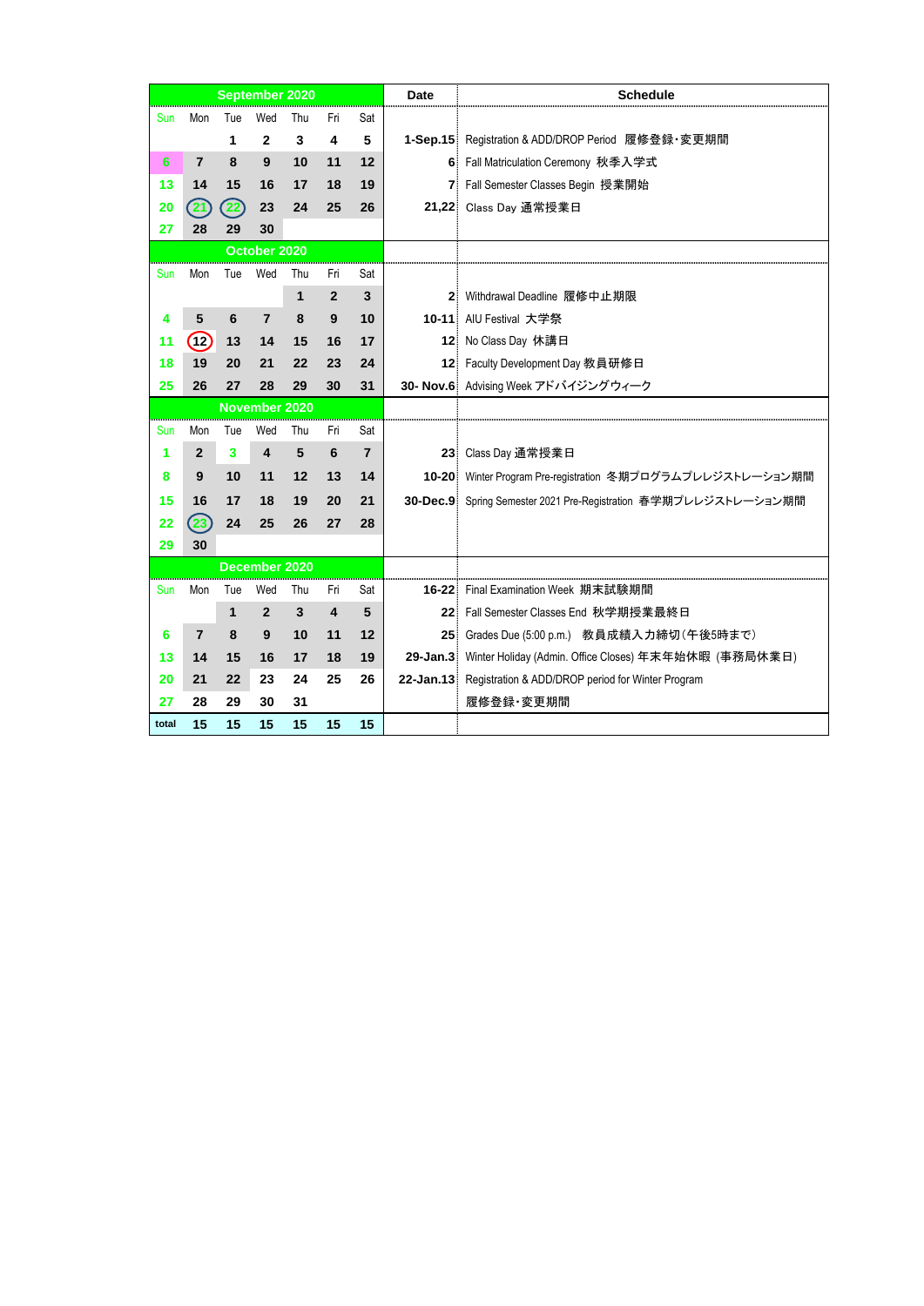|            |                    |     | <b>September 2020</b>   |     |     |                | <b>Date</b> | <b>Schedule</b>                                                 |
|------------|--------------------|-----|-------------------------|-----|-----|----------------|-------------|-----------------------------------------------------------------|
| Sun        | Mon                | Tue | Wed                     | Thu | Fri | Sat            |             |                                                                 |
|            |                    | 1   | $\mathbf{2}$            | 3   | 4   | 5              |             | 1-Sep.15 Registration & ADD/DROP Period 履修登録·変更期間               |
| 6          | $\overline{7}$     | 8   | 9                       | 10  | 11  | 12             |             | 6 Fall Matriculation Ceremony 秋季入学式                             |
| 13         | 14                 | 15  | 16                      | 17  | 18  | 19             |             | 7 Fall Semester Classes Begin 授業開始                              |
| 20         | 21                 | 22  | 23                      | 24  | 25  | 26             |             | 21,22 Class Day 通常授業日                                           |
| 27         | 28                 | 29  | 30                      |     |     |                |             |                                                                 |
|            |                    |     | October 2020            |     |     |                |             |                                                                 |
| <b>Sun</b> | Mon                | Tue | Wed                     | Thu | Fri | Sat            |             |                                                                 |
|            |                    |     |                         | 1   | 2   | 3              |             | 2 Withdrawal Deadline 履修中止期限                                    |
| 4          | 5                  | 6   | $\overline{7}$          | 8   | $9$ | 10             |             | 10-11 AIU Festival 大学祭                                          |
| 11         | (12)               | 13  | 14                      | 15  | 16  | 17             |             | 12 No Class Day 休講日                                             |
| 18         | 19                 | 20  | 21                      | 22  | 23  | 24             |             | 12 Faculty Development Day 教員研修日                                |
| 25         | 26                 | 27  | 28                      | 29  | 30  | 31             |             | 30- Nov.6 Advising Week アドバイジングウィーク                             |
|            |                    |     | <b>November 2020</b>    |     |     |                |             |                                                                 |
| Sun        | Mon                | Tue | Wed                     | Thu | Fri | Sat            |             |                                                                 |
| 1          | $\mathbf{2}$       | 3   | $\overline{\mathbf{4}}$ | 5   | 6   | $\overline{7}$ |             | 23 Class Day 通常授業日                                              |
| 8          | 9                  | 10  | 11                      | 12  | 13  | 14             |             | 10-20 Winter Program Pre-registration 冬期プログラムプレレジストレーション期間      |
| 15         | 16                 | 17  | 18                      | 19  | 20  | 21             |             | 30-Dec.9 Spring Semester 2021 Pre-Registration 春学期プレレジストレーション期間 |
| 22         | $\left( 23\right)$ | 24  | 25                      | 26  | 27  | 28             |             |                                                                 |
| 29         | 30                 |     |                         |     |     |                |             |                                                                 |
|            |                    |     | December 2020           |     |     |                |             |                                                                 |
| <b>Sun</b> | Mon                | Tue | Wed                     | Thu | Fri | Sat            |             | 16-22 Final Examination Week 期末試験期間                             |
|            |                    | 1   | 2                       | 3   | 4   | 5              |             | 22 Fall Semester Classes End 秋学期授業最終日                           |
| 6          | $\overline{7}$     | 8   | 9                       | 10  | 11  | 12             |             | 25 Grades Due (5:00 p.m.) 教員成績入力締切 (午後5時まで)                     |
| 13         | 14                 | 15  | 16                      | 17  | 18  | 19             |             | 29-Jan.3 Winter Holiday (Admin. Office Closes) 年末年始休暇 (事務局休業日)  |
| 20         | 21                 | 22  | 23                      | 24  | 25  | 26             |             | 22-Jan.13 Registration & ADD/DROP period for Winter Program     |
| 27         | 28                 | 29  | 30                      | 31  |     |                |             | 履修登録·変更期間                                                       |
| total      | 15                 | 15  | 15                      | 15  | 15  | 15             |             |                                                                 |